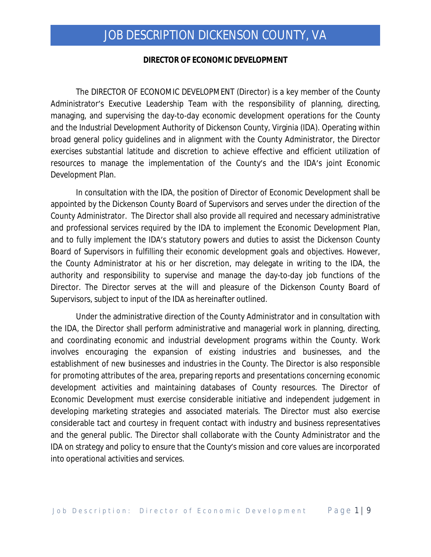#### **DIRECTOR OF ECONOMIC DEVELOPMENT**

The DIRECTOR OF ECONOMIC DEVELOPMENT (Director) is a key member of the County Administrator's Executive Leadership Team with the responsibility of planning, directing, managing, and supervising the day-to-day economic development operations for the County and the Industrial Development Authority of Dickenson County, Virginia (IDA). Operating within broad general policy guidelines and in alignment with the County Administrator, the Director exercises substantial latitude and discretion to achieve effective and efficient utilization of resources to manage the implementation of the County's and the IDA's joint Economic Development Plan.

In consultation with the IDA, the position of Director of Economic Development shall be appointed by the Dickenson County Board of Supervisors and serves under the direction of the County Administrator. The Director shall also provide all required and necessary administrative and professional services required by the IDA to implement the Economic Development Plan, and to fully implement the IDA's statutory powers and duties to assist the Dickenson County Board of Supervisors in fulfilling their economic development goals and objectives. However, the County Administrator at his or her discretion, may delegate in writing to the IDA, the authority and responsibility to supervise and manage the day-to-day job functions of the Director. The Director serves at the will and pleasure of the Dickenson County Board of Supervisors, subject to input of the IDA as hereinafter outlined.

Under the administrative direction of the County Administrator and in consultation with the IDA, the Director shall perform administrative and managerial work in planning, directing, and coordinating economic and industrial development programs within the County. Work involves encouraging the expansion of existing industries and businesses, and the establishment of new businesses and industries in the County. The Director is also responsible for promoting attributes of the area, preparing reports and presentations concerning economic development activities and maintaining databases of County resources. The Director of Economic Development must exercise considerable initiative and independent judgement in developing marketing strategies and associated materials. The Director must also exercise considerable tact and courtesy in frequent contact with industry and business representatives and the general public. The Director shall collaborate with the County Administrator and the IDA on strategy and policy to ensure that the County's mission and core values are incorporated into operational activities and services.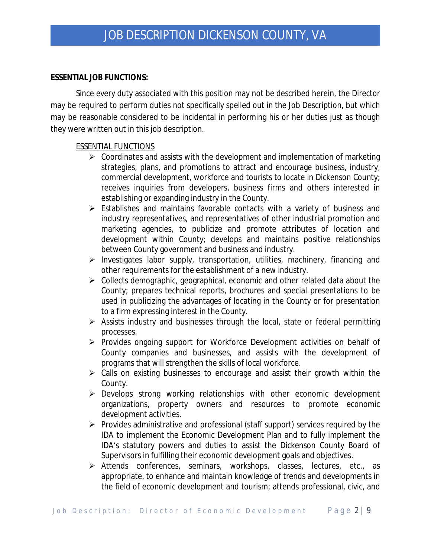### **ESSENTIAL JOB FUNCTIONS:**

Since every duty associated with this position may not be described herein, the Director may be required to perform duties not specifically spelled out in the Job Description, but which may be reasonable considered to be incidental in performing his or her duties just as though they were written out in this job description.

## ESSENTIAL FUNCTIONS

- $\triangleright$  Coordinates and assists with the development and implementation of marketing strategies, plans, and promotions to attract and encourage business, industry, commercial development, workforce and tourists to locate in Dickenson County; receives inquiries from developers, business firms and others interested in establishing or expanding industry in the County.
- $\triangleright$  Establishes and maintains favorable contacts with a variety of business and industry representatives, and representatives of other industrial promotion and marketing agencies, to publicize and promote attributes of location and development within County; develops and maintains positive relationships between County government and business and industry.
- $\triangleright$  Investigates labor supply, transportation, utilities, machinery, financing and other requirements for the establishment of a new industry.
- $\triangleright$  Collects demographic, geographical, economic and other related data about the County; prepares technical reports, brochures and special presentations to be used in publicizing the advantages of locating in the County or for presentation to a firm expressing interest in the County.
- $\triangleright$  Assists industry and businesses through the local, state or federal permitting processes.
- Provides ongoing support for Workforce Development activities on behalf of County companies and businesses, and assists with the development of programs that will strengthen the skills of local workforce.
- $\triangleright$  Calls on existing businesses to encourage and assist their growth within the County.
- Develops strong working relationships with other economic development organizations, property owners and resources to promote economic development activities.
- $\triangleright$  Provides administrative and professional (staff support) services required by the IDA to implement the Economic Development Plan and to fully implement the IDA's statutory powers and duties to assist the Dickenson County Board of Supervisors in fulfilling their economic development goals and objectives.
- Attends conferences, seminars, workshops, classes, lectures, etc., as appropriate, to enhance and maintain knowledge of trends and developments in the field of economic development and tourism; attends professional, civic, and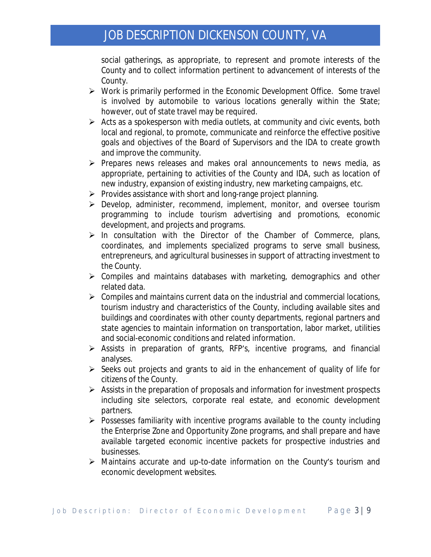social gatherings, as appropriate, to represent and promote interests of the County and to collect information pertinent to advancement of interests of the County.

- Work is primarily performed in the Economic Development Office. Some travel is involved by automobile to various locations generally within the State; however, out of state travel may be required.
- $\triangleright$  Acts as a spokesperson with media outlets, at community and civic events, both local and regional, to promote, communicate and reinforce the effective positive goals and objectives of the Board of Supervisors and the IDA to create growth and improve the community.
- $\triangleright$  Prepares news releases and makes oral announcements to news media, as appropriate, pertaining to activities of the County and IDA, such as location of new industry, expansion of existing industry, new marketing campaigns, etc.
- $\triangleright$  Provides assistance with short and long-range project planning.
- Develop, administer, recommend, implement, monitor, and oversee tourism programming to include tourism advertising and promotions, economic development, and projects and programs.
- $\triangleright$  In consultation with the Director of the Chamber of Commerce, plans, coordinates, and implements specialized programs to serve small business, entrepreneurs, and agricultural businesses in support of attracting investment to the County.
- $\triangleright$  Compiles and maintains databases with marketing, demographics and other related data.
- $\triangleright$  Compiles and maintains current data on the industrial and commercial locations, tourism industry and characteristics of the County, including available sites and buildings and coordinates with other county departments, regional partners and state agencies to maintain information on transportation, labor market, utilities and social-economic conditions and related information.
- $\triangleright$  Assists in preparation of grants, RFP's, incentive programs, and financial analyses.
- $\triangleright$  Seeks out projects and grants to aid in the enhancement of quality of life for citizens of the County.
- $\triangleright$  Assists in the preparation of proposals and information for investment prospects including site selectors, corporate real estate, and economic development partners.
- $\triangleright$  Possesses familiarity with incentive programs available to the county including the Enterprise Zone and Opportunity Zone programs, and shall prepare and have available targeted economic incentive packets for prospective industries and businesses.
- Maintains accurate and up-to-date information on the County's tourism and economic development websites.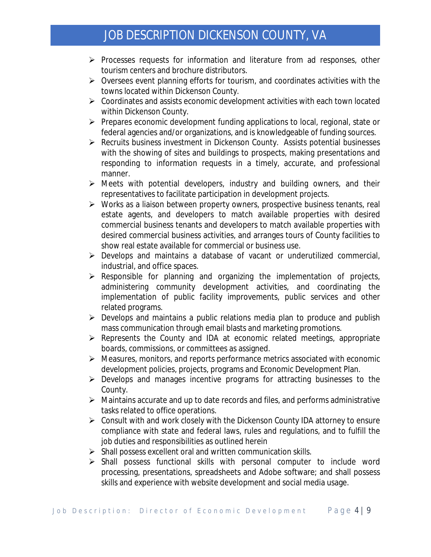- $\triangleright$  Processes requests for information and literature from ad responses, other tourism centers and brochure distributors.
- $\triangleright$  Oversees event planning efforts for tourism, and coordinates activities with the towns located within Dickenson County.
- Coordinates and assists economic development activities with each town located within Dickenson County.
- $\triangleright$  Prepares economic development funding applications to local, regional, state or federal agencies and/or organizations, and is knowledgeable of funding sources.
- Recruits business investment in Dickenson County. Assists potential businesses with the showing of sites and buildings to prospects, making presentations and responding to information requests in a timely, accurate, and professional manner.
- $\triangleright$  Meets with potential developers, industry and building owners, and their representatives to facilitate participation in development projects.
- $\triangleright$  Works as a liaison between property owners, prospective business tenants, real estate agents, and developers to match available properties with desired commercial business tenants and developers to match available properties with desired commercial business activities, and arranges tours of County facilities to show real estate available for commercial or business use.
- $\triangleright$  Develops and maintains a database of vacant or underutilized commercial, industrial, and office spaces.
- $\triangleright$  Responsible for planning and organizing the implementation of projects, administering community development activities, and coordinating the implementation of public facility improvements, public services and other related programs.
- $\triangleright$  Develops and maintains a public relations media plan to produce and publish mass communication through email blasts and marketing promotions.
- $\triangleright$  Represents the County and IDA at economic related meetings, appropriate boards, commissions, or committees as assigned.
- $\triangleright$  Measures, monitors, and reports performance metrics associated with economic development policies, projects, programs and Economic Development Plan.
- $\triangleright$  Develops and manages incentive programs for attracting businesses to the County.
- $\triangleright$  Maintains accurate and up to date records and files, and performs administrative tasks related to office operations.
- $\triangleright$  Consult with and work closely with the Dickenson County IDA attorney to ensure compliance with state and federal laws, rules and regulations, and to fulfill the job duties and responsibilities as outlined herein
- $\triangleright$  Shall possess excellent oral and written communication skills.
- $\triangleright$  Shall possess functional skills with personal computer to include word processing, presentations, spreadsheets and Adobe software; and shall possess skills and experience with website development and social media usage.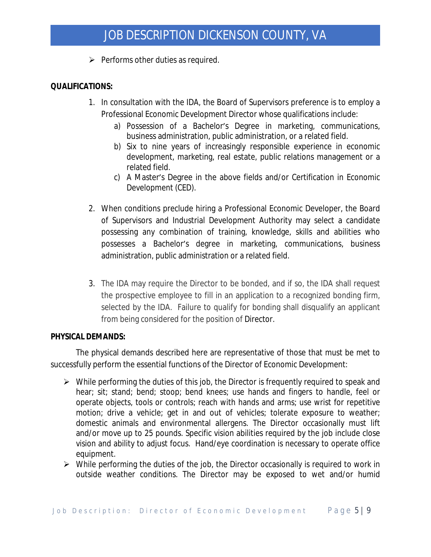$\triangleright$  Performs other duties as required.

## **QUALIFICATIONS:**

- 1. In consultation with the IDA, the Board of Supervisors preference is to employ a Professional Economic Development Director whose qualifications include:
	- a) Possession of a Bachelor's Degree in marketing, communications, business administration, public administration, or a related field.
	- b) Six to nine years of increasingly responsible experience in economic development, marketing, real estate, public relations management or a related field.
	- c) A Master's Degree in the above fields and/or Certification in Economic Development (CED).
- 2. When conditions preclude hiring a Professional Economic Developer, the Board of Supervisors and Industrial Development Authority may select a candidate possessing any combination of training, knowledge, skills and abilities who possesses a Bachelor's degree in marketing, communications, business administration, public administration or a related field.
- 3. The IDA may require the Director to be bonded, and if so, the IDA shall request the prospective employee to fill in an application to a recognized bonding firm, selected by the IDA. Failure to qualify for bonding shall disqualify an applicant from being considered for the position of Director.

## **PHYSICAL DEMANDS:**

The physical demands described here are representative of those that must be met to successfully perform the essential functions of the Director of Economic Development:

- $\triangleright$  While performing the duties of this job, the Director is frequently required to speak and hear; sit; stand; bend; stoop; bend knees; use hands and fingers to handle, feel or operate objects, tools or controls; reach with hands and arms; use wrist for repetitive motion; drive a vehicle; get in and out of vehicles; tolerate exposure to weather; domestic animals and environmental allergens. The Director occasionally must lift and/or move up to 25 pounds. Specific vision abilities required by the job include close vision and ability to adjust focus. Hand/eye coordination is necessary to operate office equipment.
- $\triangleright$  While performing the duties of the job, the Director occasionally is required to work in outside weather conditions. The Director may be exposed to wet and/or humid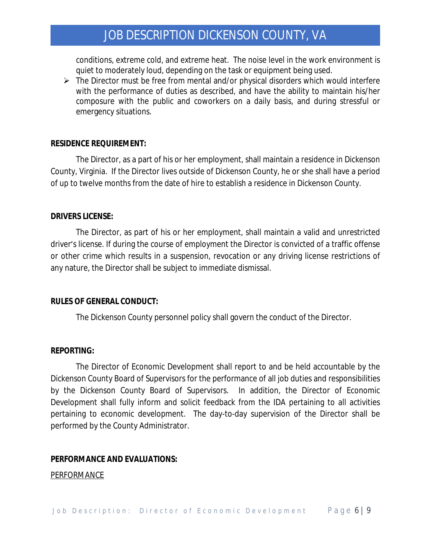conditions, extreme cold, and extreme heat. The noise level in the work environment is quiet to moderately loud, depending on the task or equipment being used.

 $\triangleright$  The Director must be free from mental and/or physical disorders which would interfere with the performance of duties as described, and have the ability to maintain his/her composure with the public and coworkers on a daily basis, and during stressful or emergency situations.

#### **RESIDENCE REQUIREMENT:**

The Director, as a part of his or her employment, shall maintain a residence in Dickenson County, Virginia. If the Director lives outside of Dickenson County, he or she shall have a period of up to twelve months from the date of hire to establish a residence in Dickenson County.

#### **DRIVERS LICENSE:**

The Director, as part of his or her employment, shall maintain a valid and unrestricted driver's license. If during the course of employment the Director is convicted of a traffic offense or other crime which results in a suspension, revocation or any driving license restrictions of any nature, the Director shall be subject to immediate dismissal.

#### **RULES OF GENERAL CONDUCT:**

The Dickenson County personnel policy shall govern the conduct of the Director.

#### **REPORTING:**

The Director of Economic Development shall report to and be held accountable by the Dickenson County Board of Supervisors for the performance of all job duties and responsibilities by the Dickenson County Board of Supervisors. In addition, the Director of Economic Development shall fully inform and solicit feedback from the IDA pertaining to all activities pertaining to economic development. The day-to-day supervision of the Director shall be performed by the County Administrator.

#### **PERFORMANCE AND EVALUATIONS:**

#### **PERFORMANCE**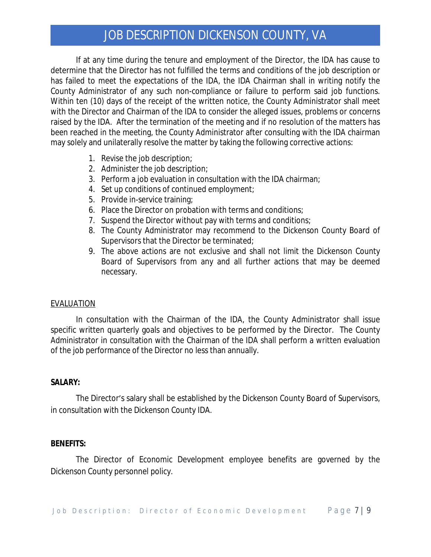If at any time during the tenure and employment of the Director, the IDA has cause to determine that the Director has not fulfilled the terms and conditions of the job description or has failed to meet the expectations of the IDA, the IDA Chairman shall in writing notify the County Administrator of any such non-compliance or failure to perform said job functions. Within ten (10) days of the receipt of the written notice, the County Administrator shall meet with the Director and Chairman of the IDA to consider the alleged issues, problems or concerns raised by the IDA. After the termination of the meeting and if no resolution of the matters has been reached in the meeting, the County Administrator after consulting with the IDA chairman may solely and unilaterally resolve the matter by taking the following corrective actions:

- 1. Revise the job description;
- 2. Administer the job description;
- 3. Perform a job evaluation in consultation with the IDA chairman;
- 4. Set up conditions of continued employment;
- 5. Provide in-service training;
- 6. Place the Director on probation with terms and conditions;
- 7. Suspend the Director without pay with terms and conditions;
- 8. The County Administrator may recommend to the Dickenson County Board of Supervisors that the Director be terminated;
- 9. The above actions are not exclusive and shall not limit the Dickenson County Board of Supervisors from any and all further actions that may be deemed necessary.

#### EVALUATION

In consultation with the Chairman of the IDA, the County Administrator shall issue specific written quarterly goals and objectives to be performed by the Director. The County Administrator in consultation with the Chairman of the IDA shall perform a written evaluation of the job performance of the Director no less than annually.

## **SALARY:**

The Director's salary shall be established by the Dickenson County Board of Supervisors, in consultation with the Dickenson County IDA.

#### **BENEFITS:**

The Director of Economic Development employee benefits are governed by the Dickenson County personnel policy.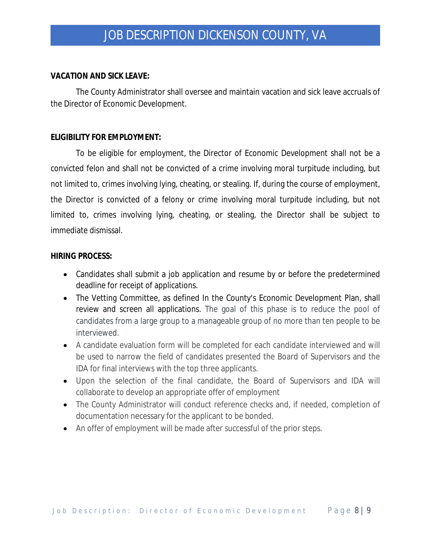### **VACATION AND SICK LEAVE:**

The County Administrator shall oversee and maintain vacation and sick leave accruals of the Director of Economic Development.

### **ELIGIBILITY FOR EMPLOYMENT:**

To be eligible for employment, the Director of Economic Development shall not be a convicted felon and shall not be convicted of a crime involving moral turpitude including, but not limited to, crimes involving lying, cheating, or stealing. If, during the course of employment, the Director is convicted of a felony or crime involving moral turpitude including, but not limited to, crimes involving lying, cheating, or stealing, the Director shall be subject to immediate dismissal.

### **HIRING PROCESS:**

- Candidates shall submit a job application and resume by or before the predetermined deadline for receipt of applications.
- The Vetting Committee, as defined In the County's Economic Development Plan, shall review and screen all applications. The goal of this phase is to reduce the pool of candidates from a large group to a manageable group of no more than ten people to be interviewed.
- A candidate evaluation form will be completed for each candidate interviewed and will be used to narrow the field of candidates presented the Board of Supervisors and the IDA for final interviews with the top three applicants.
- Upon the selection of the final candidate, the Board of Supervisors and IDA will collaborate to develop an appropriate offer of employment
- The County Administrator will conduct reference checks and, if needed, completion of documentation necessary for the applicant to be bonded.
- An offer of employment will be made after successful of the prior steps.